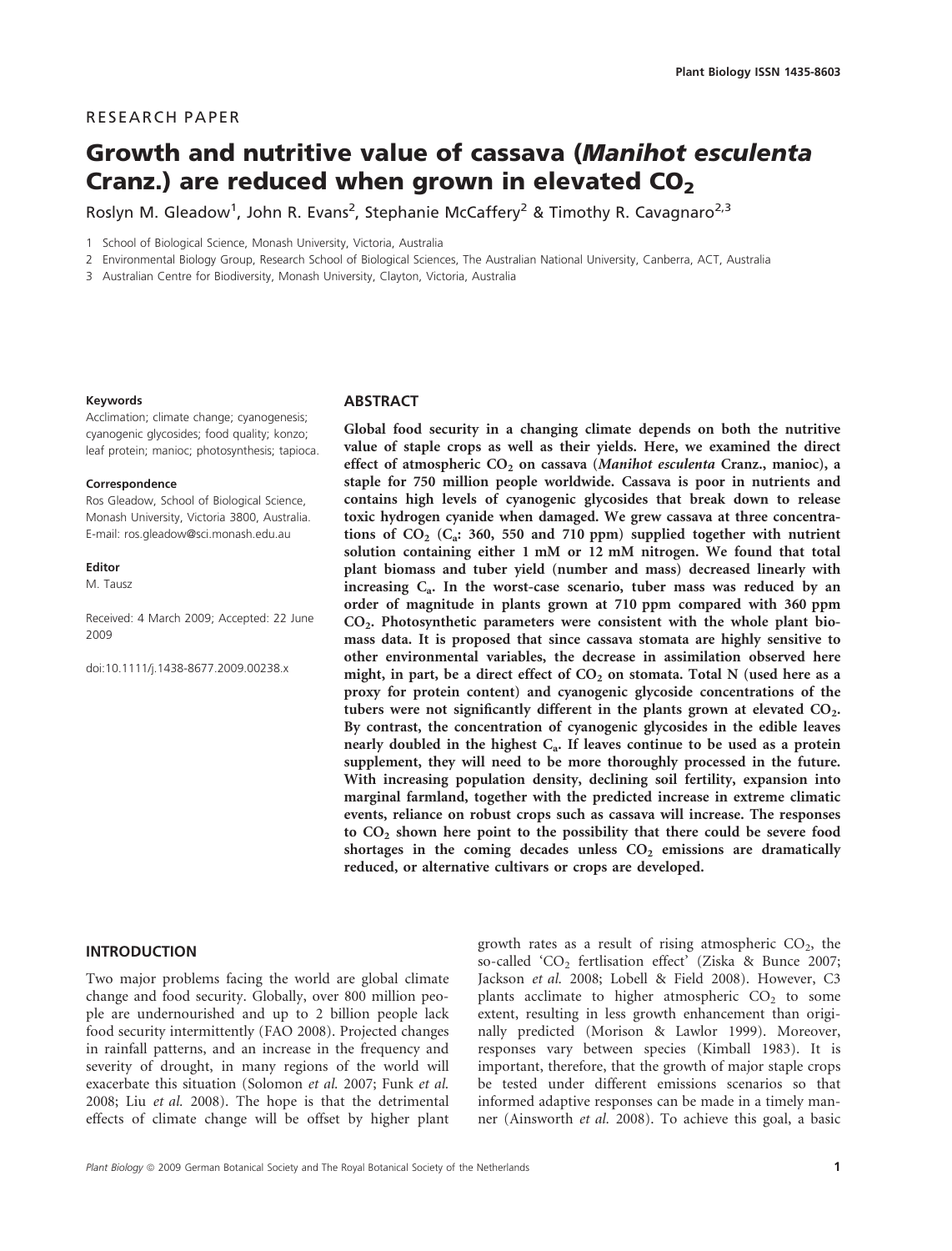# RESEARCH PAPER

# Growth and nutritive value of cassava (Manihot esculenta Cranz.) are reduced when grown in elevated  $CO<sub>2</sub>$

Roslyn M. Gleadow<sup>1</sup>, John R. Evans<sup>2</sup>, Stephanie McCaffery<sup>2</sup> & Timothy R. Cavagnaro<sup>2,3</sup>

1 School of Biological Science, Monash University, Victoria, Australia

2 Environmental Biology Group, Research School of Biological Sciences, The Australian National University, Canberra, ACT, Australia

3 Australian Centre for Biodiversity, Monash University, Clayton, Victoria, Australia

#### Keywords

Acclimation; climate change; cyanogenesis; cyanogenic glycosides; food quality; konzo; leaf protein; manioc; photosynthesis; tapioca.

#### **Correspondence**

Ros Gleadow, School of Biological Science, Monash University, Victoria 3800, Australia. E-mail: ros.gleadow@sci.monash.edu.au

Editor

M. Tausz

Received: 4 March 2009; Accepted: 22 June 2009

doi:10.1111/j.1438-8677.2009.00238.x

# **ABSTRACT**

Global food security in a changing climate depends on both the nutritive value of staple crops as well as their yields. Here, we examined the direct effect of atmospheric CO<sub>2</sub> on cassava (Manihot esculenta Cranz., manioc), a staple for 750 million people worldwide. Cassava is poor in nutrients and contains high levels of cyanogenic glycosides that break down to release toxic hydrogen cyanide when damaged. We grew cassava at three concentrations of  $CO_2$  ( $C_a$ : 360, 550 and 710 ppm) supplied together with nutrient solution containing either 1 mM or 12 mM nitrogen. We found that total plant biomass and tuber yield (number and mass) decreased linearly with increasing  $C_a$ . In the worst-case scenario, tuber mass was reduced by an order of magnitude in plants grown at 710 ppm compared with 360 ppm  $CO<sub>2</sub>$ . Photosynthetic parameters were consistent with the whole plant biomass data. It is proposed that since cassava stomata are highly sensitive to other environmental variables, the decrease in assimilation observed here might, in part, be a direct effect of  $CO<sub>2</sub>$  on stomata. Total N (used here as a proxy for protein content) and cyanogenic glycoside concentrations of the tubers were not significantly different in the plants grown at elevated  $CO<sub>2</sub>$ . By contrast, the concentration of cyanogenic glycosides in the edible leaves nearly doubled in the highest  $C_a$ . If leaves continue to be used as a protein supplement, they will need to be more thoroughly processed in the future. With increasing population density, declining soil fertility, expansion into marginal farmland, together with the predicted increase in extreme climatic events, reliance on robust crops such as cassava will increase. The responses to  $CO<sub>2</sub>$  shown here point to the possibility that there could be severe food shortages in the coming decades unless  $CO<sub>2</sub>$  emissions are dramatically reduced, or alternative cultivars or crops are developed.

#### INTRODUCTION

Two major problems facing the world are global climate change and food security. Globally, over 800 million people are undernourished and up to 2 billion people lack food security intermittently (FAO 2008). Projected changes in rainfall patterns, and an increase in the frequency and severity of drought, in many regions of the world will exacerbate this situation (Solomon et al. 2007; Funk et al. 2008; Liu et al. 2008). The hope is that the detrimental effects of climate change will be offset by higher plant growth rates as a result of rising atmospheric  $CO<sub>2</sub>$ , the so-called 'CO<sub>2</sub> fertlisation effect' (Ziska & Bunce 2007; Jackson et al. 2008; Lobell & Field 2008). However, C3 plants acclimate to higher atmospheric  $CO<sub>2</sub>$  to some extent, resulting in less growth enhancement than originally predicted (Morison & Lawlor 1999). Moreover, responses vary between species (Kimball 1983). It is important, therefore, that the growth of major staple crops be tested under different emissions scenarios so that informed adaptive responses can be made in a timely manner (Ainsworth et al. 2008). To achieve this goal, a basic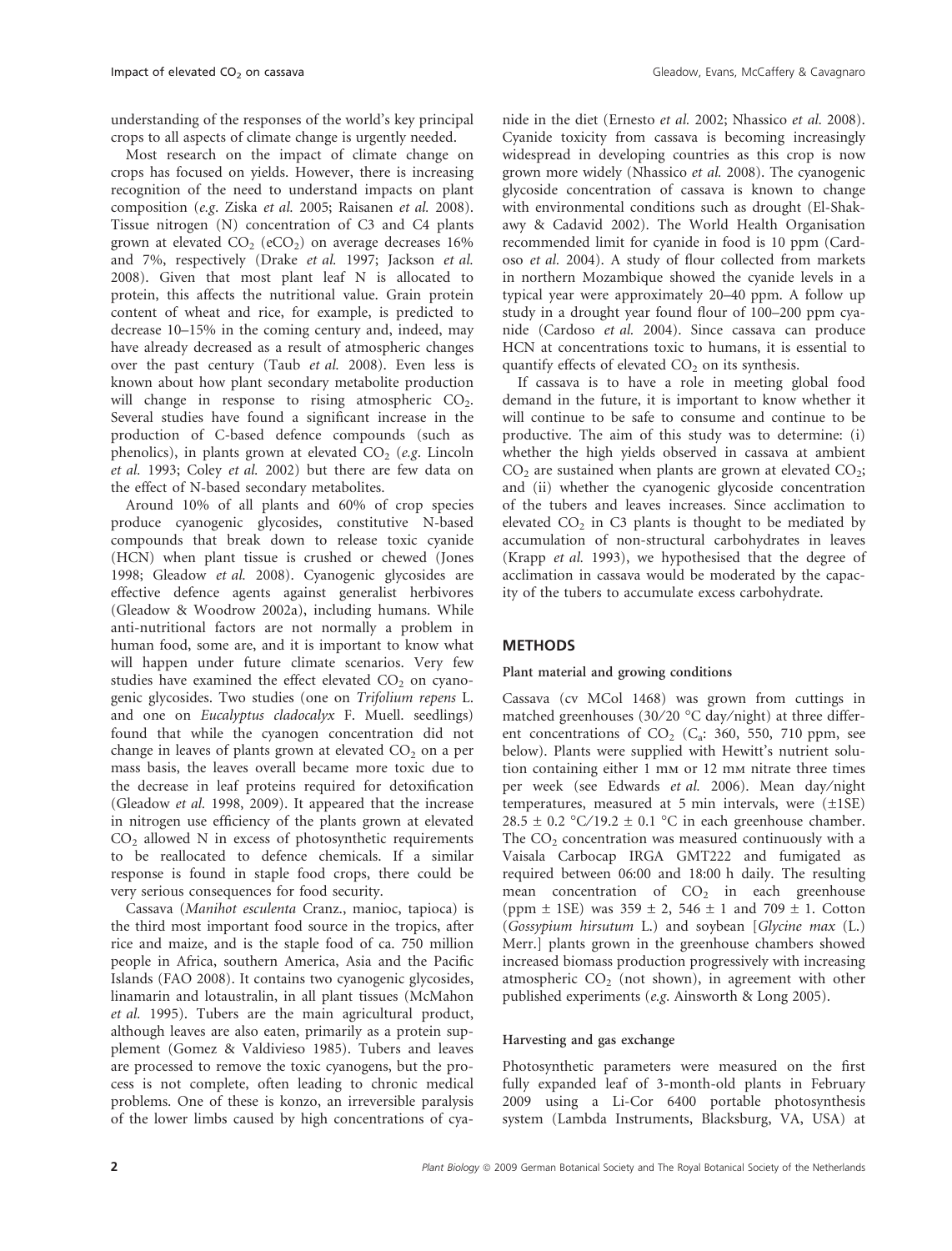understanding of the responses of the world's key principal crops to all aspects of climate change is urgently needed.

Most research on the impact of climate change on crops has focused on yields. However, there is increasing recognition of the need to understand impacts on plant composition (e.g. Ziska et al. 2005; Raisanen et al. 2008). Tissue nitrogen (N) concentration of C3 and C4 plants grown at elevated  $CO<sub>2</sub>$  (eCO<sub>2</sub>) on average decreases  $16\%$ and 7%, respectively (Drake et al. 1997; Jackson et al. 2008). Given that most plant leaf N is allocated to protein, this affects the nutritional value. Grain protein content of wheat and rice, for example, is predicted to decrease 10–15% in the coming century and, indeed, may have already decreased as a result of atmospheric changes over the past century (Taub et al. 2008). Even less is known about how plant secondary metabolite production will change in response to rising atmospheric  $CO<sub>2</sub>$ . Several studies have found a significant increase in the production of C-based defence compounds (such as phenolics), in plants grown at elevated  $CO<sub>2</sub>$  (e.g. Lincoln et al. 1993; Coley et al. 2002) but there are few data on the effect of N-based secondary metabolites.

Around 10% of all plants and 60% of crop species produce cyanogenic glycosides, constitutive N-based compounds that break down to release toxic cyanide (HCN) when plant tissue is crushed or chewed (Jones 1998; Gleadow et al. 2008). Cyanogenic glycosides are effective defence agents against generalist herbivores (Gleadow & Woodrow 2002a), including humans. While anti-nutritional factors are not normally a problem in human food, some are, and it is important to know what will happen under future climate scenarios. Very few studies have examined the effect elevated  $CO<sub>2</sub>$  on cyanogenic glycosides. Two studies (one on Trifolium repens L. and one on Eucalyptus cladocalyx F. Muell. seedlings) found that while the cyanogen concentration did not change in leaves of plants grown at elevated  $CO<sub>2</sub>$  on a per mass basis, the leaves overall became more toxic due to the decrease in leaf proteins required for detoxification (Gleadow et al. 1998, 2009). It appeared that the increase in nitrogen use efficiency of the plants grown at elevated  $CO<sub>2</sub>$  allowed N in excess of photosynthetic requirements to be reallocated to defence chemicals. If a similar response is found in staple food crops, there could be very serious consequences for food security.

Cassava (Manihot esculenta Cranz., manioc, tapioca) is the third most important food source in the tropics, after rice and maize, and is the staple food of ca. 750 million people in Africa, southern America, Asia and the Pacific Islands (FAO 2008). It contains two cyanogenic glycosides, linamarin and lotaustralin, in all plant tissues (McMahon et al. 1995). Tubers are the main agricultural product, although leaves are also eaten, primarily as a protein supplement (Gomez & Valdivieso 1985). Tubers and leaves are processed to remove the toxic cyanogens, but the process is not complete, often leading to chronic medical problems. One of these is konzo, an irreversible paralysis of the lower limbs caused by high concentrations of cyanide in the diet (Ernesto et al. 2002; Nhassico et al. 2008). Cyanide toxicity from cassava is becoming increasingly widespread in developing countries as this crop is now grown more widely (Nhassico et al. 2008). The cyanogenic glycoside concentration of cassava is known to change with environmental conditions such as drought (El-Shakawy & Cadavid 2002). The World Health Organisation recommended limit for cyanide in food is 10 ppm (Cardoso et al. 2004). A study of flour collected from markets in northern Mozambique showed the cyanide levels in a typical year were approximately 20–40 ppm. A follow up study in a drought year found flour of 100–200 ppm cyanide (Cardoso et al. 2004). Since cassava can produce HCN at concentrations toxic to humans, it is essential to quantify effects of elevated  $CO<sub>2</sub>$  on its synthesis.

If cassava is to have a role in meeting global food demand in the future, it is important to know whether it will continue to be safe to consume and continue to be productive. The aim of this study was to determine: (i) whether the high yields observed in cassava at ambient  $CO<sub>2</sub>$  are sustained when plants are grown at elevated  $CO<sub>2</sub>$ ; and (ii) whether the cyanogenic glycoside concentration of the tubers and leaves increases. Since acclimation to elevated  $CO<sub>2</sub>$  in C3 plants is thought to be mediated by accumulation of non-structural carbohydrates in leaves (Krapp et al. 1993), we hypothesised that the degree of acclimation in cassava would be moderated by the capacity of the tubers to accumulate excess carbohydrate.

## **METHODS**

# Plant material and growing conditions

Cassava (cv MCol 1468) was grown from cuttings in matched greenhouses (30/20 °C day/night) at three different concentrations of  $CO<sub>2</sub>$  ( $C<sub>a</sub>$ : 360, 550, 710 ppm, see below). Plants were supplied with Hewitt's nutrient solution containing either 1 mm or 12 mm nitrate three times per week (see Edwards et al. 2006). Mean day/night temperatures, measured at 5 min intervals, were  $(\pm 1SE)$  $28.5 \pm 0.2$  °C/19.2  $\pm$  0.1 °C in each greenhouse chamber. The  $CO<sub>2</sub>$  concentration was measured continuously with a Vaisala Carbocap IRGA GMT222 and fumigated as required between 06:00 and 18:00 h daily. The resulting mean concentration of  $CO<sub>2</sub>$  in each greenhouse (ppm  $\pm$  1SE) was 359  $\pm$  2, 546  $\pm$  1 and 709  $\pm$  1. Cotton (Gossypium hirsutum L.) and soybean [Glycine max (L.) Merr.] plants grown in the greenhouse chambers showed increased biomass production progressively with increasing atmospheric  $CO<sub>2</sub>$  (not shown), in agreement with other published experiments (e.g. Ainsworth & Long 2005).

## Harvesting and gas exchange

Photosynthetic parameters were measured on the first fully expanded leaf of 3-month-old plants in February 2009 using a Li-Cor 6400 portable photosynthesis system (Lambda Instruments, Blacksburg, VA, USA) at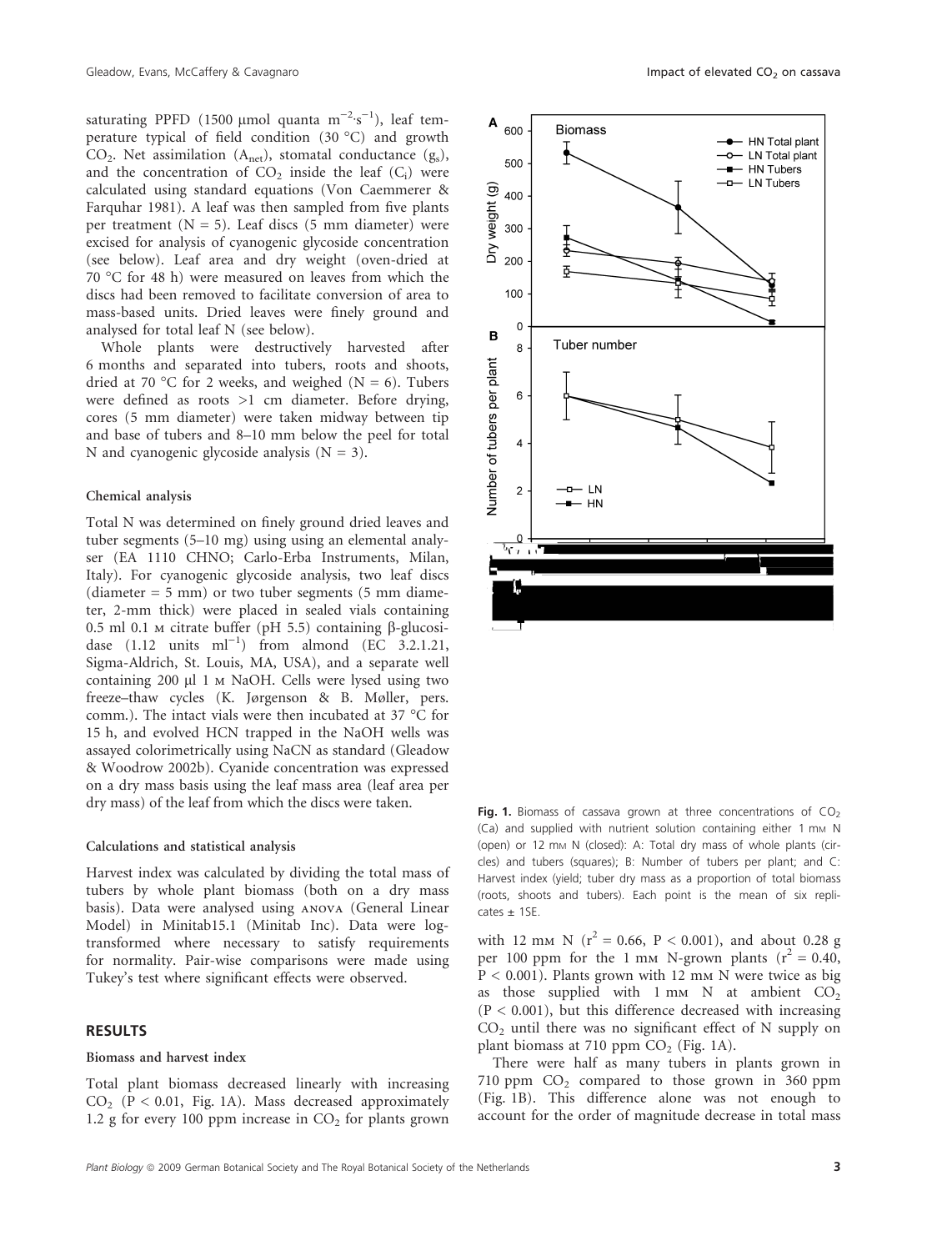saturating PPFD (1500 µmol quanta  $m^{-2} \cdot s^{-1}$ ), leaf temperature typical of field condition  $(30\text{ °C})$  and growth  $CO<sub>2</sub>$ . Net assimilation (A<sub>net</sub>), stomatal conductance (g<sub>s</sub>), and the concentration of  $CO<sub>2</sub>$  inside the leaf  $(C<sub>i</sub>)$  were calculated using standard equations (Von Caemmerer & Farquhar 1981). A leaf was then sampled from five plants per treatment  $(N = 5)$ . Leaf discs (5 mm diameter) were excised for analysis of cyanogenic glycoside concentration (see below). Leaf area and dry weight (oven-dried at 70 °C for 48 h) were measured on leaves from which the discs had been removed to facilitate conversion of area to mass-based units. Dried leaves were finely ground and analysed for total leaf N (see below).

Whole plants were destructively harvested after 6 months and separated into tubers, roots and shoots, dried at 70 °C for 2 weeks, and weighed ( $N = 6$ ). Tubers were defined as roots >1 cm diameter. Before drying, cores (5 mm diameter) were taken midway between tip and base of tubers and 8–10 mm below the peel for total N and cyanogenic glycoside analysis  $(N = 3)$ .

## Chemical analysis

Total N was determined on finely ground dried leaves and tuber segments (5–10 mg) using using an elemental analyser (EA 1110 CHNO; Carlo-Erba Instruments, Milan, Italy). For cyanogenic glycoside analysis, two leaf discs (diameter  $= 5$  mm) or two tuber segments (5 mm diameter, 2-mm thick) were placed in sealed vials containing 0.5 ml 0.1 m citrate buffer (pH 5.5) containing  $\beta$ -glucosidase  $(1.12 \text{ units } ml^{-1})$  from almond  $(EC \ 3.2.1.21, ...)$ Sigma-Aldrich, St. Louis, MA, USA), and a separate well containing 200 µl 1 m NaOH. Cells were lysed using two freeze–thaw cycles (K. Jørgenson & B. Møller, pers. comm.). The intact vials were then incubated at 37  $^{\circ}$ C for 15 h, and evolved HCN trapped in the NaOH wells was assayed colorimetrically using NaCN as standard (Gleadow & Woodrow 2002b). Cyanide concentration was expressed on a dry mass basis using the leaf mass area (leaf area per dry mass) of the leaf from which the discs were taken.

#### Calculations and statistical analysis

Harvest index was calculated by dividing the total mass of tubers by whole plant biomass (both on a dry mass basis). Data were analysed using anova (General Linear Model) in Minitab15.1 (Minitab Inc). Data were logtransformed where necessary to satisfy requirements for normality. Pair-wise comparisons were made using Tukey's test where significant effects were observed.

# RESULTS

## Biomass and harvest index

Total plant biomass decreased linearly with increasing  $CO<sub>2</sub>$  (P < 0.01, Fig. 1A). Mass decreased approximately 1.2 g for every 100 ppm increase in  $CO<sub>2</sub>$  for plants grown



Fig. 1. Biomass of cassava grown at three concentrations of  $CO<sub>2</sub>$ (Ca) and supplied with nutrient solution containing either 1 mm N (open) or 12 mm N (closed): A: Total dry mass of whole plants (circles) and tubers (squares); B: Number of tubers per plant; and C: Harvest index (yield; tuber dry mass as a proportion of total biomass (roots, shoots and tubers). Each point is the mean of six repli $cates \pm 1SE$ .

with 12 mm N ( $r^2 = 0.66$ , P < 0.001), and about 0.28 g per 100 ppm for the 1 mm N-grown plants  $(r^2 = 0.40,$  $P < 0.001$ ). Plants grown with 12 mm N were twice as big as those supplied with  $1 \text{ mm}$  N at ambient  $CO<sub>2</sub>$  $(P < 0.001)$ , but this difference decreased with increasing  $CO<sub>2</sub>$  until there was no significant effect of N supply on plant biomass at 710 ppm  $CO<sub>2</sub>$  (Fig. 1A).

There were half as many tubers in plants grown in 710 ppm  $CO<sub>2</sub>$  compared to those grown in 360 ppm (Fig. 1B). This difference alone was not enough to account for the order of magnitude decrease in total mass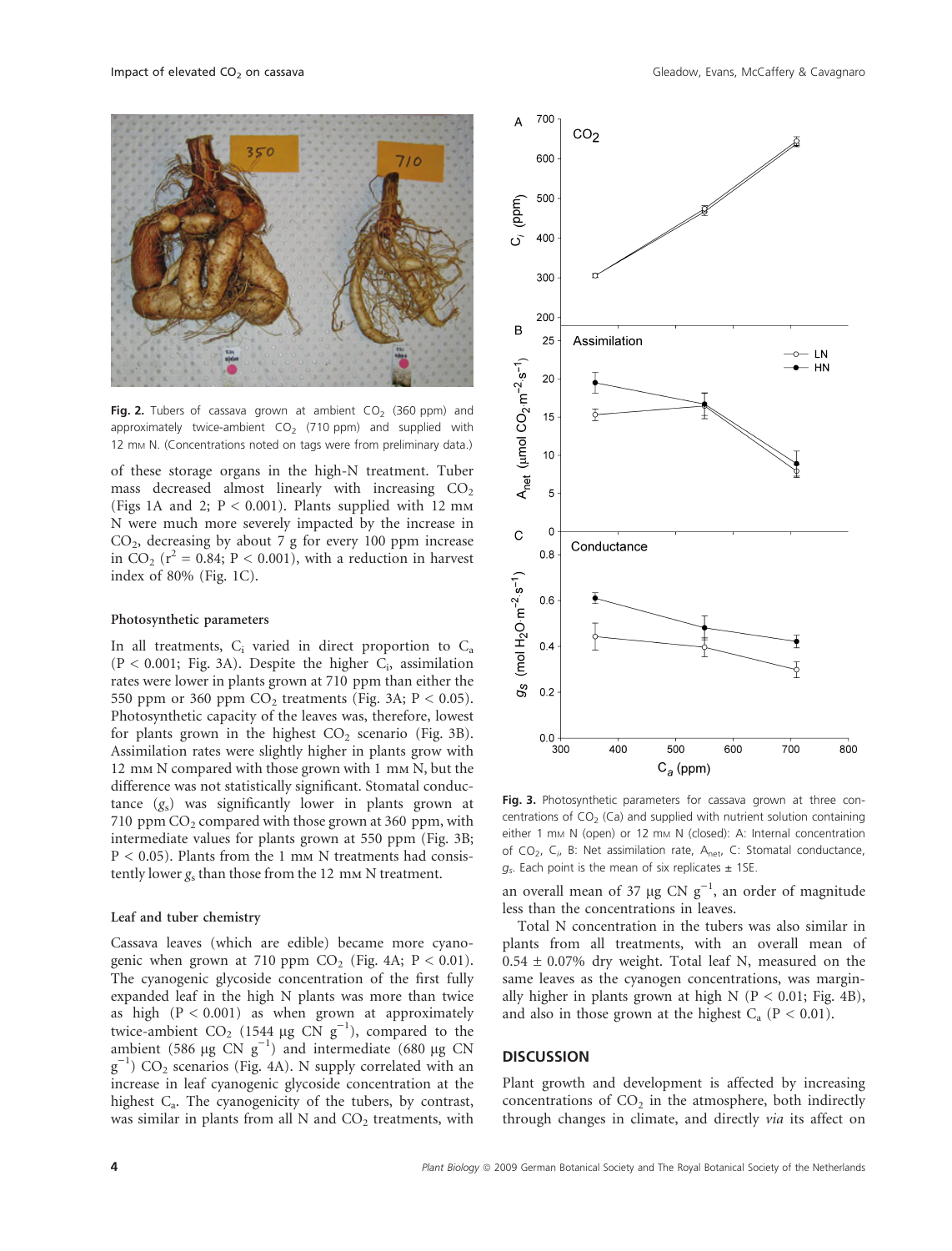

Fig. 2. Tubers of cassava grown at ambient  $CO<sub>2</sub>$  (360 ppm) and approximately twice-ambient  $CO<sub>2</sub>$  (710 ppm) and supplied with 12 mm N. (Concentrations noted on tags were from preliminary data.)

of these storage organs in the high-N treatment. Tuber mass decreased almost linearly with increasing  $CO<sub>2</sub>$ (Figs 1A and 2;  $P < 0.001$ ). Plants supplied with 12 mm N were much more severely impacted by the increase in  $CO<sub>2</sub>$ , decreasing by about 7 g for every 100 ppm increase in CO<sub>2</sub> ( $r^2$  = 0.84; P < 0.001), with a reduction in harvest index of 80% (Fig. 1C).

#### Photosynthetic parameters

In all treatments,  $C_i$  varied in direct proportion to  $C_a$  $(P < 0.001$ ; Fig. 3A). Despite the higher  $C_i$ , assimilation rates were lower in plants grown at 710 ppm than either the 550 ppm or 360 ppm  $CO<sub>2</sub>$  treatments (Fig. 3A; P < 0.05). Photosynthetic capacity of the leaves was, therefore, lowest for plants grown in the highest  $CO<sub>2</sub>$  scenario (Fig. 3B). Assimilation rates were slightly higher in plants grow with 12 mm N compared with those grown with 1 mm N, but the difference was not statistically significant. Stomatal conductance  $(g_s)$  was significantly lower in plants grown at 710 ppm  $CO<sub>2</sub>$  compared with those grown at 360 ppm, with intermediate values for plants grown at 550 ppm (Fig. 3B;  $P < 0.05$ ). Plants from the 1 mm N treatments had consistently lower  $g_s$  than those from the 12 mm N treatment.

#### Leaf and tuber chemistry

Cassava leaves (which are edible) became more cyanogenic when grown at 710 ppm  $CO<sub>2</sub>$  (Fig. 4A;  $P < 0.01$ ). The cyanogenic glycoside concentration of the first fully expanded leaf in the high N plants was more than twice as high  $(P < 0.001)$  as when grown at approximately twice-ambient CO<sub>2</sub> (1544 µg CN  $g^{-1}$ ), compared to the ambient (586  $\mu$ g CN g<sup>-1</sup>) and intermediate (680  $\mu$ g CN  $g^{-1}$ ) CO<sub>2</sub> scenarios (Fig. 4A). N supply correlated with an increase in leaf cyanogenic glycoside concentration at the highest C<sub>a</sub>. The cyanogenicity of the tubers, by contrast, was similar in plants from all  $N$  and  $CO<sub>2</sub>$  treatments, with





Fig. 3. Photosynthetic parameters for cassava grown at three concentrations of  $CO<sub>2</sub>$  (Ca) and supplied with nutrient solution containing either 1 mm N (open) or 12 mm N (closed): A: Internal concentration of  $CO<sub>2</sub>$ ,  $C<sub>i</sub>$ , B: Net assimilation rate,  $A<sub>net</sub>$ , C: Stomatal conductance,  $g<sub>s</sub>$ . Each point is the mean of six replicates  $\pm$  1SE.

an overall mean of 37 µg CN  $g^{-1}$ , an order of magnitude less than the concentrations in leaves.

Total N concentration in the tubers was also similar in plants from all treatments, with an overall mean of  $0.54 \pm 0.07\%$  dry weight. Total leaf N, measured on the same leaves as the cyanogen concentrations, was marginally higher in plants grown at high N ( $P < 0.01$ ; Fig. 4B), and also in those grown at the highest  $C_a$  (P < 0.01).

## **DISCUSSION**

Plant growth and development is affected by increasing concentrations of  $CO<sub>2</sub>$  in the atmosphere, both indirectly through changes in climate, and directly via its affect on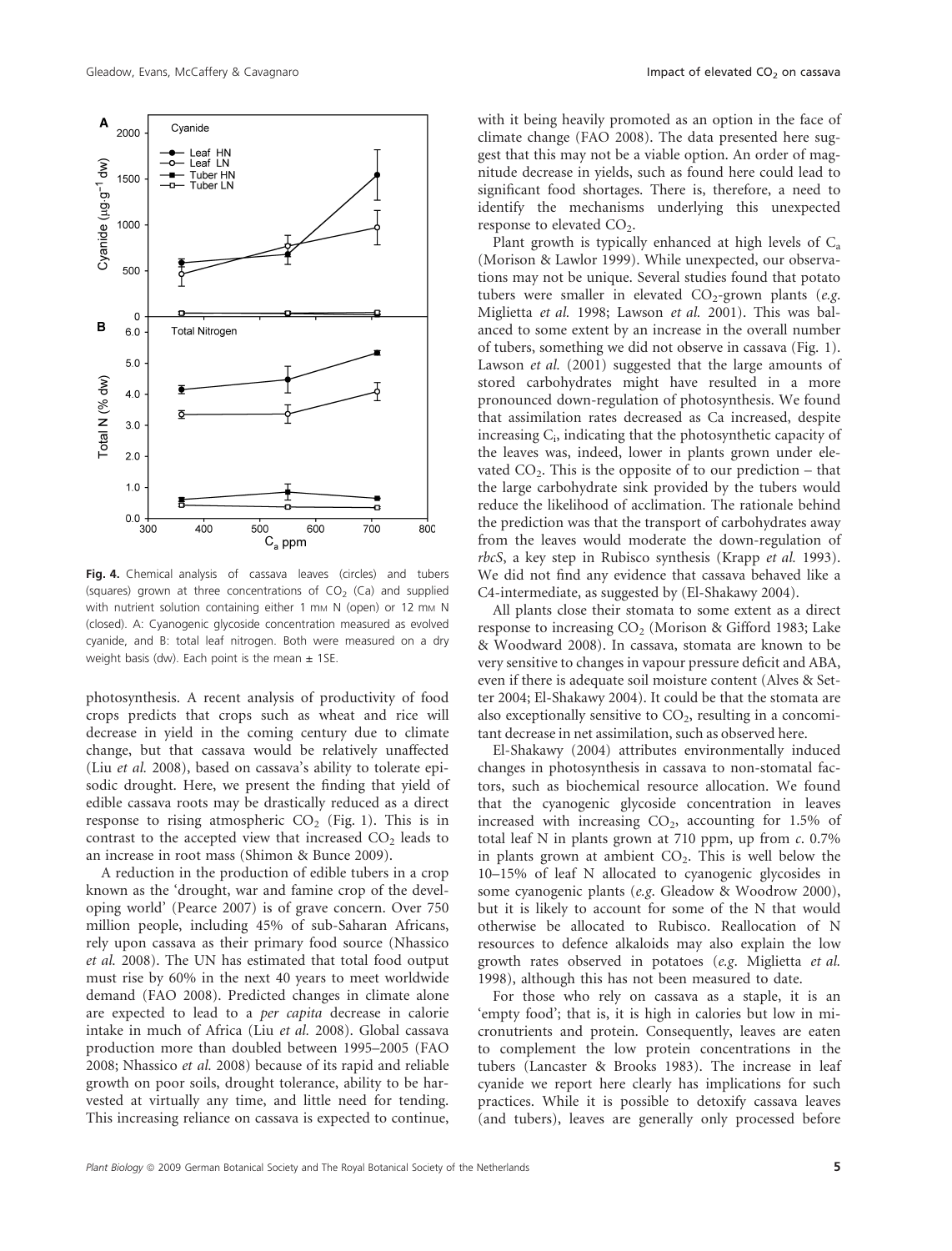

Fig. 4. Chemical analysis of cassava leaves (circles) and tubers (squares) grown at three concentrations of  $CO<sub>2</sub>$  (Ca) and supplied with nutrient solution containing either 1 mm N (open) or 12 mm N (closed). A: Cyanogenic glycoside concentration measured as evolved cyanide, and B: total leaf nitrogen. Both were measured on a dry weight basis (dw). Each point is the mean  $\pm$  1SE.

photosynthesis. A recent analysis of productivity of food crops predicts that crops such as wheat and rice will decrease in yield in the coming century due to climate change, but that cassava would be relatively unaffected (Liu et al. 2008), based on cassava's ability to tolerate episodic drought. Here, we present the finding that yield of edible cassava roots may be drastically reduced as a direct response to rising atmospheric  $CO<sub>2</sub>$  (Fig. 1). This is in contrast to the accepted view that increased  $CO<sub>2</sub>$  leads to an increase in root mass (Shimon & Bunce 2009).

A reduction in the production of edible tubers in a crop known as the 'drought, war and famine crop of the developing world' (Pearce 2007) is of grave concern. Over 750 million people, including 45% of sub-Saharan Africans, rely upon cassava as their primary food source (Nhassico et al. 2008). The UN has estimated that total food output must rise by 60% in the next 40 years to meet worldwide demand (FAO 2008). Predicted changes in climate alone are expected to lead to a per capita decrease in calorie intake in much of Africa (Liu et al. 2008). Global cassava production more than doubled between 1995–2005 (FAO 2008; Nhassico et al. 2008) because of its rapid and reliable growth on poor soils, drought tolerance, ability to be harvested at virtually any time, and little need for tending. This increasing reliance on cassava is expected to continue,

with it being heavily promoted as an option in the face of climate change (FAO 2008). The data presented here suggest that this may not be a viable option. An order of magnitude decrease in yields, such as found here could lead to significant food shortages. There is, therefore, a need to identify the mechanisms underlying this unexpected response to elevated CO<sub>2</sub>.

Plant growth is typically enhanced at high levels of  $C<sub>2</sub>$ (Morison & Lawlor 1999). While unexpected, our observations may not be unique. Several studies found that potato tubers were smaller in elevated  $CO_2$ -grown plants (e.g. Miglietta et al. 1998; Lawson et al. 2001). This was balanced to some extent by an increase in the overall number of tubers, something we did not observe in cassava (Fig. 1). Lawson et al. (2001) suggested that the large amounts of stored carbohydrates might have resulted in a more pronounced down-regulation of photosynthesis. We found that assimilation rates decreased as Ca increased, despite increasing C<sub>i</sub>, indicating that the photosynthetic capacity of the leaves was, indeed, lower in plants grown under elevated  $CO<sub>2</sub>$ . This is the opposite of to our prediction – that the large carbohydrate sink provided by the tubers would reduce the likelihood of acclimation. The rationale behind the prediction was that the transport of carbohydrates away from the leaves would moderate the down-regulation of rbcS, a key step in Rubisco synthesis (Krapp et al. 1993). We did not find any evidence that cassava behaved like a C4-intermediate, as suggested by (El-Shakawy 2004).

All plants close their stomata to some extent as a direct response to increasing  $CO<sub>2</sub>$  (Morison & Gifford 1983; Lake & Woodward 2008). In cassava, stomata are known to be very sensitive to changes in vapour pressure deficit and ABA, even if there is adequate soil moisture content (Alves & Setter 2004; El-Shakawy 2004). It could be that the stomata are also exceptionally sensitive to  $CO<sub>2</sub>$ , resulting in a concomitant decrease in net assimilation, such as observed here.

El-Shakawy (2004) attributes environmentally induced changes in photosynthesis in cassava to non-stomatal factors, such as biochemical resource allocation. We found that the cyanogenic glycoside concentration in leaves increased with increasing  $CO<sub>2</sub>$ , accounting for 1.5% of total leaf N in plants grown at 710 ppm, up from  $c$ . 0.7% in plants grown at ambient  $CO<sub>2</sub>$ . This is well below the 10–15% of leaf N allocated to cyanogenic glycosides in some cyanogenic plants (e.g. Gleadow & Woodrow 2000), but it is likely to account for some of the N that would otherwise be allocated to Rubisco. Reallocation of N resources to defence alkaloids may also explain the low growth rates observed in potatoes (e.g. Miglietta et al. 1998), although this has not been measured to date.

For those who rely on cassava as a staple, it is an 'empty food'; that is, it is high in calories but low in micronutrients and protein. Consequently, leaves are eaten to complement the low protein concentrations in the tubers (Lancaster & Brooks 1983). The increase in leaf cyanide we report here clearly has implications for such practices. While it is possible to detoxify cassava leaves (and tubers), leaves are generally only processed before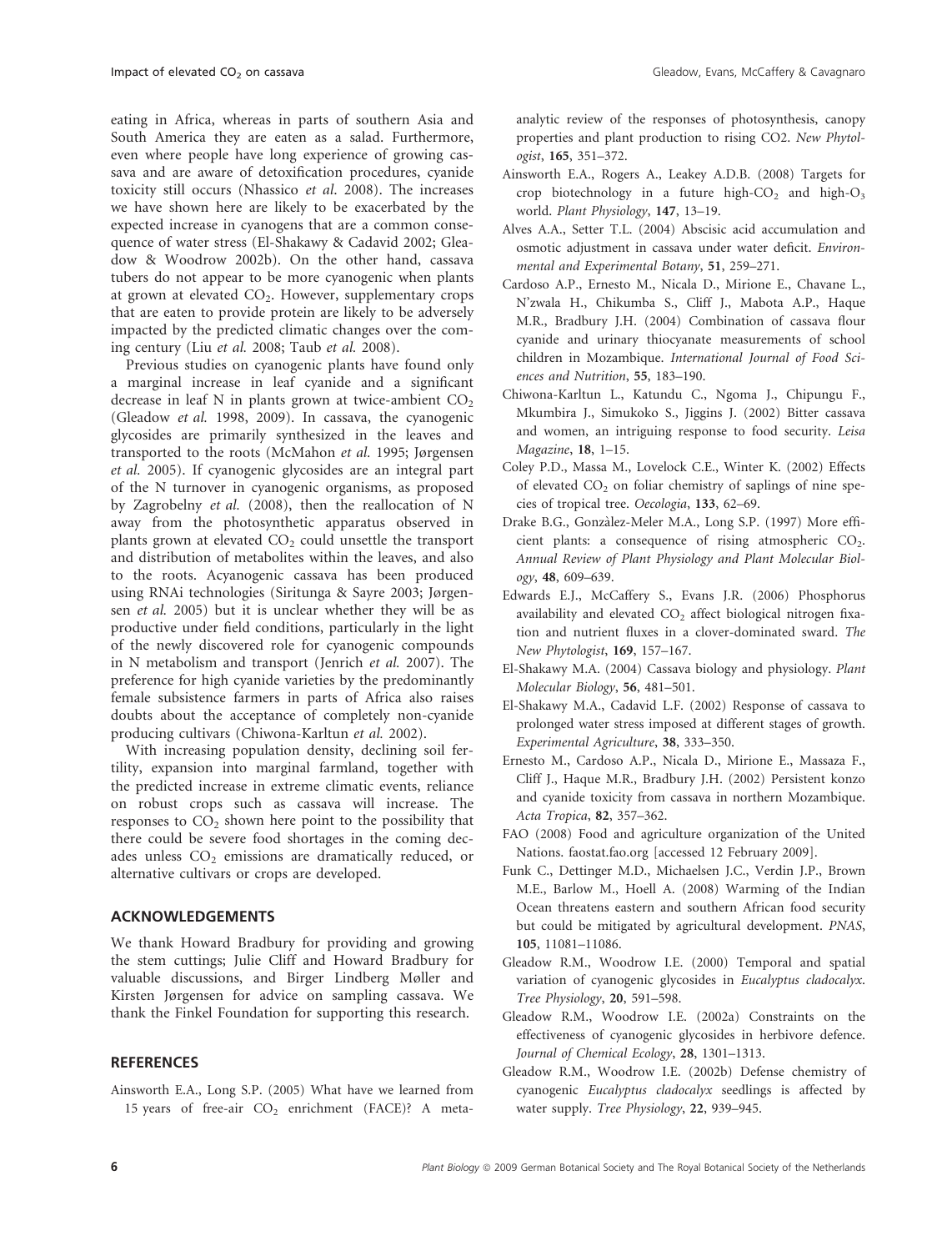eating in Africa, whereas in parts of southern Asia and South America they are eaten as a salad. Furthermore, even where people have long experience of growing cassava and are aware of detoxification procedures, cyanide toxicity still occurs (Nhassico et al. 2008). The increases we have shown here are likely to be exacerbated by the expected increase in cyanogens that are a common consequence of water stress (El-Shakawy & Cadavid 2002; Gleadow & Woodrow 2002b). On the other hand, cassava tubers do not appear to be more cyanogenic when plants at grown at elevated  $CO<sub>2</sub>$ . However, supplementary crops that are eaten to provide protein are likely to be adversely impacted by the predicted climatic changes over the coming century (Liu et al. 2008; Taub et al. 2008).

Previous studies on cyanogenic plants have found only a marginal increase in leaf cyanide and a significant decrease in leaf N in plants grown at twice-ambient  $CO<sub>2</sub>$ (Gleadow et al. 1998, 2009). In cassava, the cyanogenic glycosides are primarily synthesized in the leaves and transported to the roots (McMahon et al. 1995; Jørgensen et al. 2005). If cyanogenic glycosides are an integral part of the N turnover in cyanogenic organisms, as proposed by Zagrobelny et al. (2008), then the reallocation of N away from the photosynthetic apparatus observed in plants grown at elevated  $CO<sub>2</sub>$  could unsettle the transport and distribution of metabolites within the leaves, and also to the roots. Acyanogenic cassava has been produced using RNAi technologies (Siritunga & Sayre 2003; Jørgensen et al. 2005) but it is unclear whether they will be as productive under field conditions, particularly in the light of the newly discovered role for cyanogenic compounds in N metabolism and transport (Jenrich et al. 2007). The preference for high cyanide varieties by the predominantly female subsistence farmers in parts of Africa also raises doubts about the acceptance of completely non-cyanide producing cultivars (Chiwona-Karltun et al. 2002).

With increasing population density, declining soil fertility, expansion into marginal farmland, together with the predicted increase in extreme climatic events, reliance on robust crops such as cassava will increase. The responses to  $CO<sub>2</sub>$  shown here point to the possibility that there could be severe food shortages in the coming decades unless CO<sub>2</sub> emissions are dramatically reduced, or alternative cultivars or crops are developed.

# ACKNOWLEDGEMENTS

We thank Howard Bradbury for providing and growing the stem cuttings; Julie Cliff and Howard Bradbury for valuable discussions, and Birger Lindberg Møller and Kirsten Jørgensen for advice on sampling cassava. We thank the Finkel Foundation for supporting this research.

# **REFERENCES**

Ainsworth E.A., Long S.P. (2005) What have we learned from 15 years of free-air  $CO<sub>2</sub>$  enrichment (FACE)? A metaanalytic review of the responses of photosynthesis, canopy properties and plant production to rising CO2. New Phytologist, 165, 351–372.

- Ainsworth E.A., Rogers A., Leakey A.D.B. (2008) Targets for crop biotechnology in a future high- $CO<sub>2</sub>$  and high- $O<sub>3</sub>$ world. Plant Physiology, 147, 13–19.
- Alves A.A., Setter T.L. (2004) Abscisic acid accumulation and osmotic adjustment in cassava under water deficit. Environmental and Experimental Botany, 51, 259–271.
- Cardoso A.P., Ernesto M., Nicala D., Mirione E., Chavane L., N'zwala H., Chikumba S., Cliff J., Mabota A.P., Haque M.R., Bradbury J.H. (2004) Combination of cassava flour cyanide and urinary thiocyanate measurements of school children in Mozambique. International Journal of Food Sciences and Nutrition, 55, 183–190.
- Chiwona-Karltun L., Katundu C., Ngoma J., Chipungu F., Mkumbira J., Simukoko S., Jiggins J. (2002) Bitter cassava and women, an intriguing response to food security. Leisa Magazine, 18, 1–15.
- Coley P.D., Massa M., Lovelock C.E., Winter K. (2002) Effects of elevated  $CO<sub>2</sub>$  on foliar chemistry of saplings of nine species of tropical tree. Oecologia, 133, 62–69.
- Drake B.G., Gonzàlez-Meler M.A., Long S.P. (1997) More efficient plants: a consequence of rising atmospheric  $CO<sub>2</sub>$ . Annual Review of Plant Physiology and Plant Molecular Biology, 48, 609–639.
- Edwards E.J., McCaffery S., Evans J.R. (2006) Phosphorus availability and elevated  $CO<sub>2</sub>$  affect biological nitrogen fixation and nutrient fluxes in a clover-dominated sward. The New Phytologist, 169, 157–167.
- El-Shakawy M.A. (2004) Cassava biology and physiology. Plant Molecular Biology, 56, 481–501.
- El-Shakawy M.A., Cadavid L.F. (2002) Response of cassava to prolonged water stress imposed at different stages of growth. Experimental Agriculture, 38, 333–350.
- Ernesto M., Cardoso A.P., Nicala D., Mirione E., Massaza F., Cliff J., Haque M.R., Bradbury J.H. (2002) Persistent konzo and cyanide toxicity from cassava in northern Mozambique. Acta Tropica, 82, 357–362.
- FAO (2008) Food and agriculture organization of the United Nations. faostat.fao.org [accessed 12 February 2009].
- Funk C., Dettinger M.D., Michaelsen J.C., Verdin J.P., Brown M.E., Barlow M., Hoell A. (2008) Warming of the Indian Ocean threatens eastern and southern African food security but could be mitigated by agricultural development. PNAS, 105, 11081–11086.
- Gleadow R.M., Woodrow I.E. (2000) Temporal and spatial variation of cyanogenic glycosides in Eucalyptus cladocalyx. Tree Physiology, 20, 591–598.
- Gleadow R.M., Woodrow I.E. (2002a) Constraints on the effectiveness of cyanogenic glycosides in herbivore defence. Journal of Chemical Ecology, 28, 1301–1313.
- Gleadow R.M., Woodrow I.E. (2002b) Defense chemistry of cyanogenic Eucalyptus cladocalyx seedlings is affected by water supply. Tree Physiology, 22, 939–945.